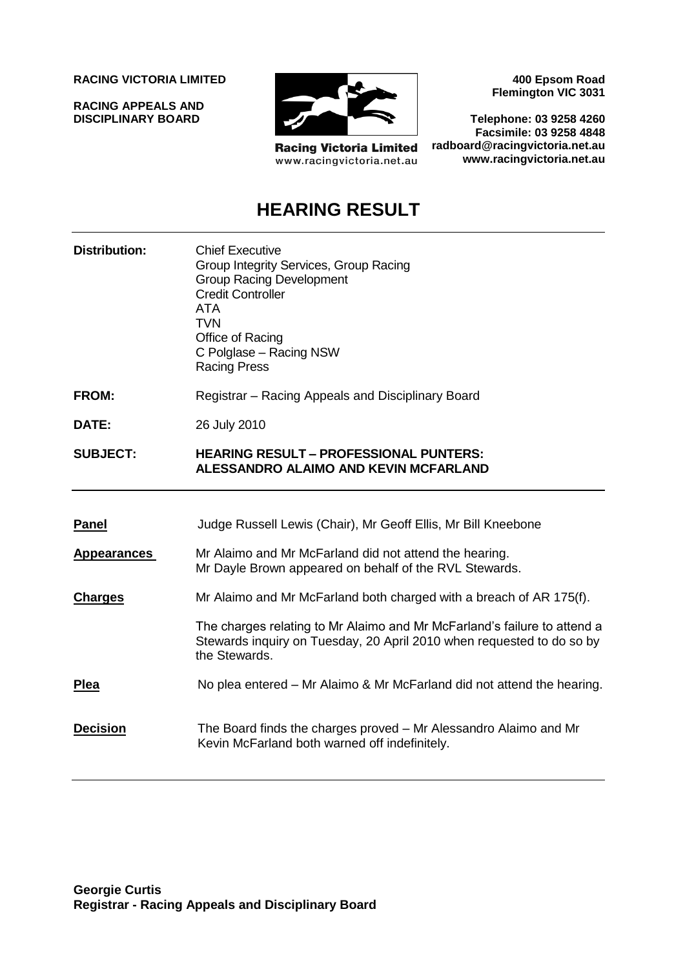**RACING VICTORIA LIMITED**

**RACING APPEALS AND DISCIPLINARY BOARD**



**Racing Victoria Limited** www.racingvictoria.net.au

**400 Epsom Road Flemington VIC 3031**

**Telephone: 03 9258 4260 Facsimile: 03 9258 4848 radboard@racingvictoria.net.au www.racingvictoria.net.au**

## **HEARING RESULT**

- **Distribution:** Chief Executive Group Integrity Services, Group Racing Group Racing Development Credit Controller ATA **TVN** Office of Racing C Polglase – Racing NSW Racing Press
- **FROM:** Registrar Racing Appeals and Disciplinary Board

**DATE:** 26 July 2010

#### **SUBJECT: HEARING RESULT – PROFESSIONAL PUNTERS: ALESSANDRO ALAIMO AND KEVIN MCFARLAND**

| <b>Panel</b>       | Judge Russell Lewis (Chair), Mr Geoff Ellis, Mr Bill Kneebone                                                                                                      |
|--------------------|--------------------------------------------------------------------------------------------------------------------------------------------------------------------|
| <b>Appearances</b> | Mr Alaimo and Mr McFarland did not attend the hearing.<br>Mr Dayle Brown appeared on behalf of the RVL Stewards.                                                   |
| <b>Charges</b>     | Mr Alaimo and Mr McFarland both charged with a breach of AR 175(f).                                                                                                |
|                    | The charges relating to Mr Alaimo and Mr McFarland's failure to attend a<br>Stewards inquiry on Tuesday, 20 April 2010 when requested to do so by<br>the Stewards. |
| Plea               | No plea entered – Mr Alaimo & Mr McFarland did not attend the hearing.                                                                                             |
| <b>Decision</b>    | The Board finds the charges proved – Mr Alessandro Alaimo and Mr<br>Kevin McFarland both warned off indefinitely.                                                  |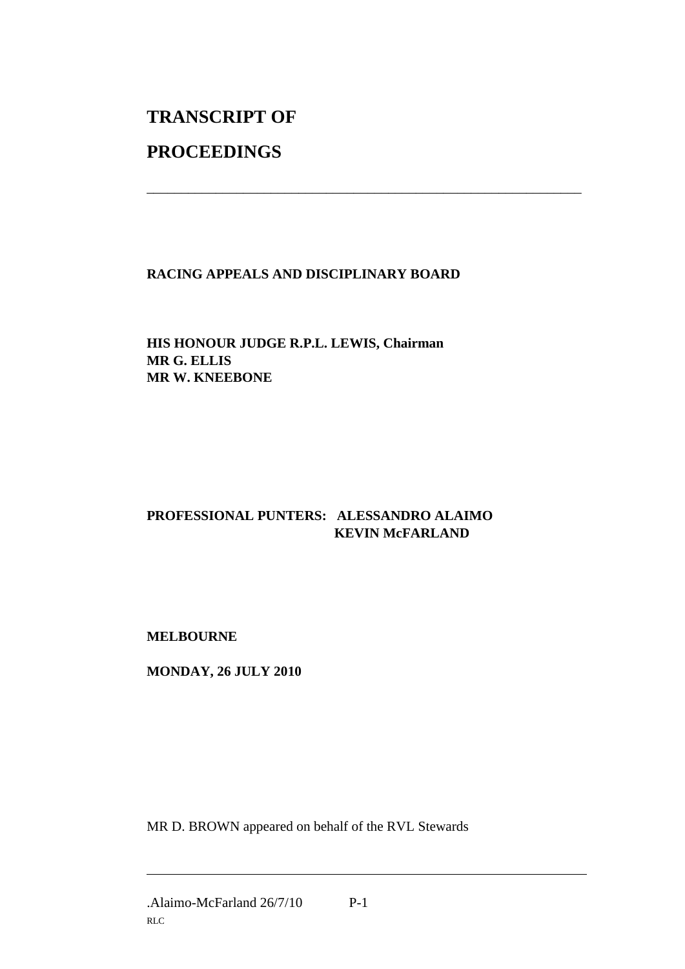# **TRANSCRIPT OF**

## **PROCEEDINGS**

#### **RACING APPEALS AND DISCIPLINARY BOARD**

\_\_\_\_\_\_\_\_\_\_\_\_\_\_\_\_\_\_\_\_\_\_\_\_\_\_\_\_\_\_\_\_\_\_\_\_\_\_\_\_\_\_\_\_\_\_\_\_\_\_\_\_\_\_\_\_\_\_\_\_\_\_\_

#### **HIS HONOUR JUDGE R.P.L. LEWIS, Chairman MR G. ELLIS MR W. KNEEBONE**

### **PROFESSIONAL PUNTERS: ALESSANDRO ALAIMO KEVIN McFARLAND**

#### **MELBOURNE**

**MONDAY, 26 JULY 2010**

MR D. BROWN appeared on behalf of the RVL Stewards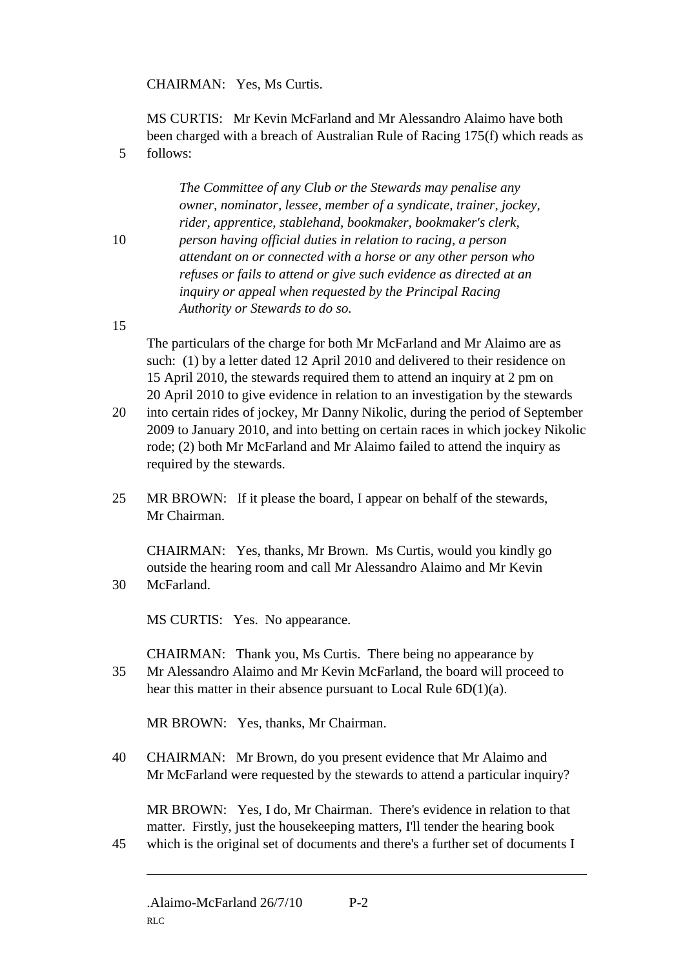CHAIRMAN: Yes, Ms Curtis.

MS CURTIS: Mr Kevin McFarland and Mr Alessandro Alaimo have both been charged with a breach of Australian Rule of Racing 175(f) which reads as 5 follows:

> *The Committee of any Club or the Stewards may penalise any owner, nominator, lessee, member of a syndicate, trainer, jockey, rider, apprentice, stablehand, bookmaker, bookmaker's clerk,*

10 *person having official duties in relation to racing, a person attendant on or connected with a horse or any other person who refuses or fails to attend or give such evidence as directed at an inquiry or appeal when requested by the Principal Racing Authority or Stewards to do so.*

15

The particulars of the charge for both Mr McFarland and Mr Alaimo are as such: (1) by a letter dated 12 April 2010 and delivered to their residence on 15 April 2010, the stewards required them to attend an inquiry at 2 pm on 20 April 2010 to give evidence in relation to an investigation by the stewards

- 20 into certain rides of jockey, Mr Danny Nikolic, during the period of September 2009 to January 2010, and into betting on certain races in which jockey Nikolic rode; (2) both Mr McFarland and Mr Alaimo failed to attend the inquiry as required by the stewards.
- 25 MR BROWN: If it please the board, I appear on behalf of the stewards, Mr Chairman.

CHAIRMAN: Yes, thanks, Mr Brown. Ms Curtis, would you kindly go outside the hearing room and call Mr Alessandro Alaimo and Mr Kevin 30 McFarland.

MS CURTIS: Yes. No appearance.

CHAIRMAN: Thank you, Ms Curtis. There being no appearance by 35 Mr Alessandro Alaimo and Mr Kevin McFarland, the board will proceed to hear this matter in their absence pursuant to Local Rule 6D(1)(a).

MR BROWN: Yes, thanks, Mr Chairman.

40 CHAIRMAN: Mr Brown, do you present evidence that Mr Alaimo and Mr McFarland were requested by the stewards to attend a particular inquiry?

MR BROWN: Yes, I do, Mr Chairman. There's evidence in relation to that matter. Firstly, just the housekeeping matters. I'll tender the hearing book 45 which is the original set of documents and there's a further set of documents I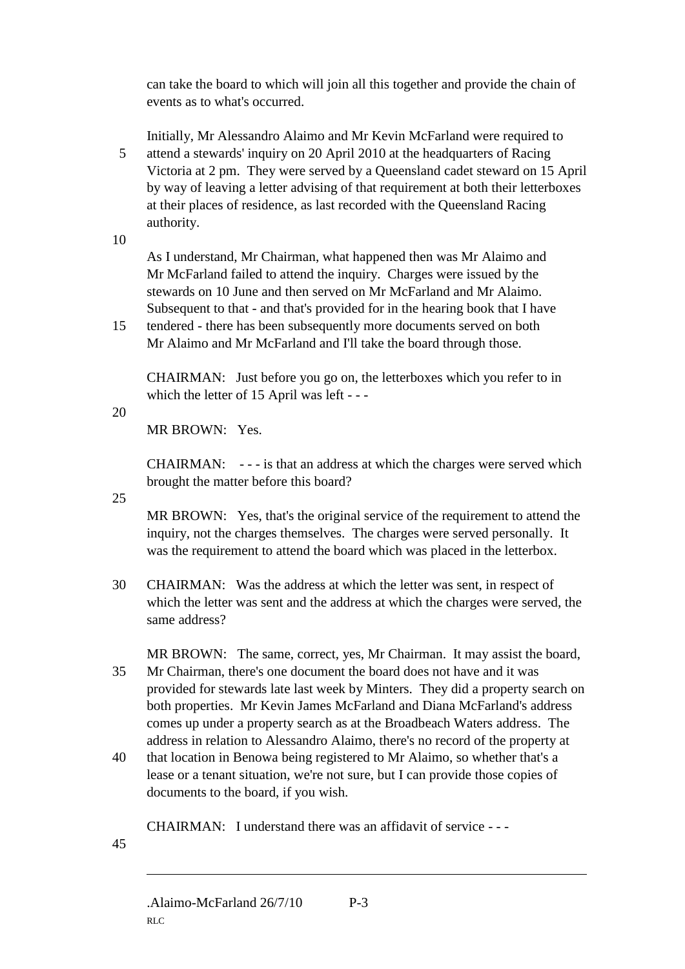can take the board to which will join all this together and provide the chain of events as to what's occurred.

Initially, Mr Alessandro Alaimo and Mr Kevin McFarland were required to 5 attend a stewards' inquiry on 20 April 2010 at the headquarters of Racing Victoria at 2 pm. They were served by a Queensland cadet steward on 15 April by way of leaving a letter advising of that requirement at both their letterboxes at their places of residence, as last recorded with the Queensland Racing authority.

10

As I understand, Mr Chairman, what happened then was Mr Alaimo and Mr McFarland failed to attend the inquiry. Charges were issued by the stewards on 10 June and then served on Mr McFarland and Mr Alaimo. Subsequent to that - and that's provided for in the hearing book that I have

15 tendered - there has been subsequently more documents served on both Mr Alaimo and Mr McFarland and I'll take the board through those.

CHAIRMAN: Just before you go on, the letterboxes which you refer to in which the letter of 15 April was left - - -

20

MR BROWN: Yes.

CHAIRMAN: - - - is that an address at which the charges were served which brought the matter before this board?

25

MR BROWN: Yes, that's the original service of the requirement to attend the inquiry, not the charges themselves. The charges were served personally. It was the requirement to attend the board which was placed in the letterbox.

30 CHAIRMAN: Was the address at which the letter was sent, in respect of which the letter was sent and the address at which the charges were served, the same address?

MR BROWN: The same, correct, yes, Mr Chairman. It may assist the board, 35 Mr Chairman, there's one document the board does not have and it was provided for stewards late last week by Minters. They did a property search on both properties. Mr Kevin James McFarland and Diana McFarland's address comes up under a property search as at the Broadbeach Waters address. The address in relation to Alessandro Alaimo, there's no record of the property at

40 that location in Benowa being registered to Mr Alaimo, so whether that's a lease or a tenant situation, we're not sure, but I can provide those copies of documents to the board, if you wish.

CHAIRMAN: I understand there was an affidavit of service - - -

45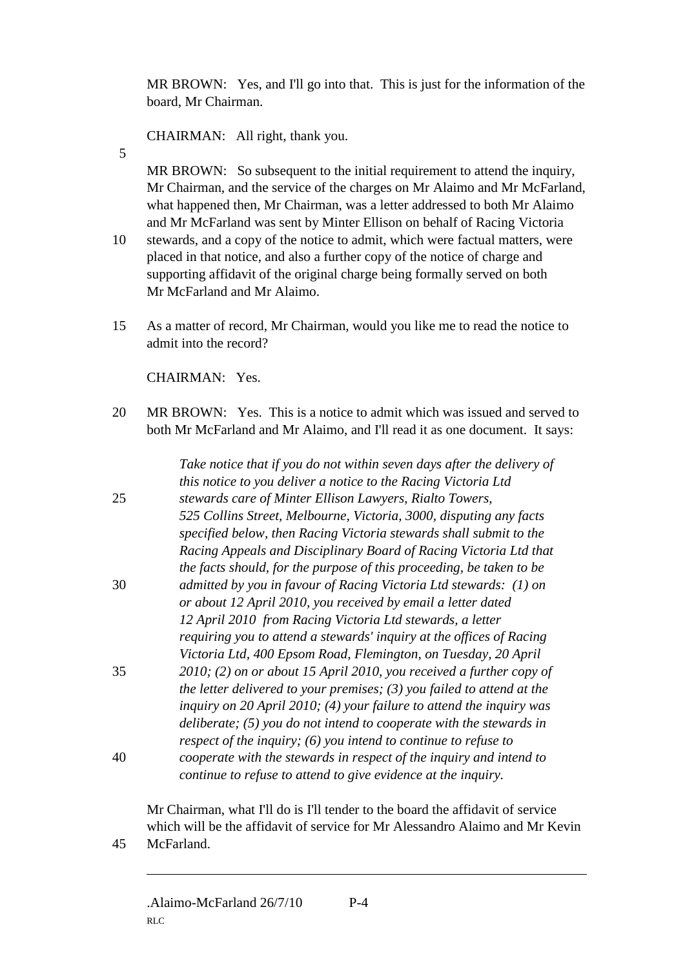MR BROWN: Yes, and I'll go into that. This is just for the information of the board, Mr Chairman.

CHAIRMAN: All right, thank you.

5

MR BROWN: So subsequent to the initial requirement to attend the inquiry, Mr Chairman, and the service of the charges on Mr Alaimo and Mr McFarland, what happened then, Mr Chairman, was a letter addressed to both Mr Alaimo and Mr McFarland was sent by Minter Ellison on behalf of Racing Victoria

- 10 stewards, and a copy of the notice to admit, which were factual matters, were placed in that notice, and also a further copy of the notice of charge and supporting affidavit of the original charge being formally served on both Mr McFarland and Mr Alaimo.
- 15 As a matter of record, Mr Chairman, would you like me to read the notice to admit into the record?

CHAIRMAN: Yes.

20 MR BROWN: Yes. This is a notice to admit which was issued and served to both Mr McFarland and Mr Alaimo, and I'll read it as one document. It says:

|    | Take notice that if you do not within seven days after the delivery of   |
|----|--------------------------------------------------------------------------|
|    | this notice to you deliver a notice to the Racing Victoria Ltd           |
| 25 | stewards care of Minter Ellison Lawyers, Rialto Towers,                  |
|    | 525 Collins Street, Melbourne, Victoria, 3000, disputing any facts       |
|    | specified below, then Racing Victoria stewards shall submit to the       |
|    | Racing Appeals and Disciplinary Board of Racing Victoria Ltd that        |
|    | the facts should, for the purpose of this proceeding, be taken to be     |
| 30 | admitted by you in favour of Racing Victoria Ltd stewards: (1) on        |
|    | or about 12 April 2010, you received by email a letter dated             |
|    | 12 April 2010 from Racing Victoria Ltd stewards, a letter                |
|    | requiring you to attend a stewards' inquiry at the offices of Racing     |
|    | Victoria Ltd, 400 Epsom Road, Flemington, on Tuesday, 20 April           |
| 35 | 2010; (2) on or about 15 April 2010, you received a further copy of      |
|    | the letter delivered to your premises; $(3)$ you failed to attend at the |
|    | inquiry on 20 April 2010; (4) your failure to attend the inquiry was     |
|    | deliberate; $(5)$ you do not intend to cooperate with the stewards in    |
|    | respect of the inquiry; $(6)$ you intend to continue to refuse to        |
| 40 | cooperate with the stewards in respect of the inquiry and intend to      |
|    | continue to refuse to attend to give evidence at the inquiry.            |

Mr Chairman, what I'll do is I'll tender to the board the affidavit of service which will be the affidavit of service for Mr Alessandro Alaimo and Mr Kevin 45 McFarland.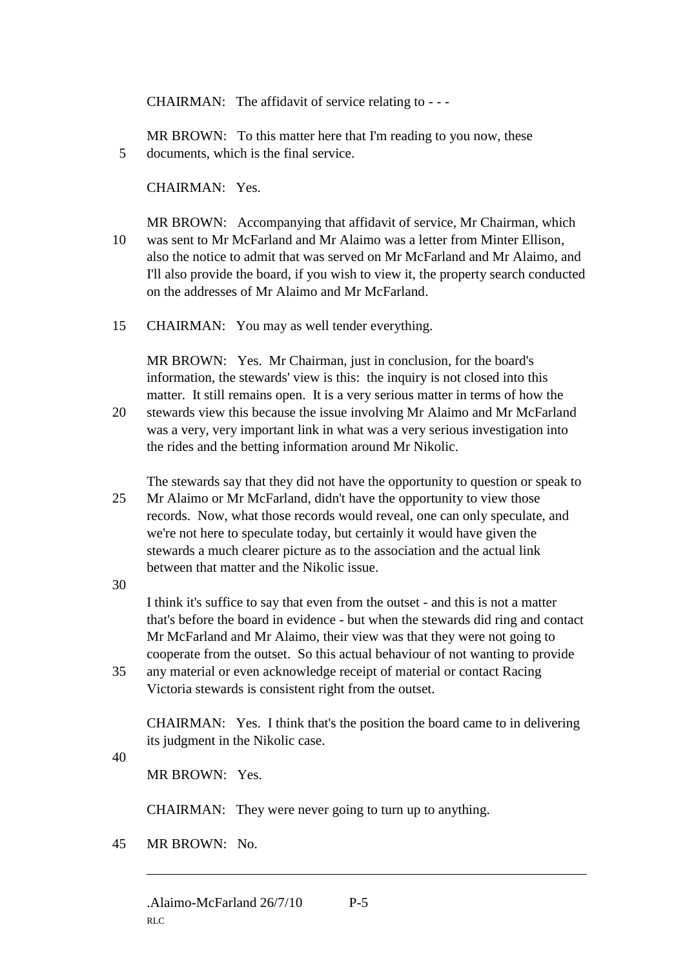CHAIRMAN: The affidavit of service relating to - - -

MR BROWN: To this matter here that I'm reading to you now, these 5 documents, which is the final service.

CHAIRMAN: Yes.

MR BROWN: Accompanying that affidavit of service, Mr Chairman, which 10 was sent to Mr McFarland and Mr Alaimo was a letter from Minter Ellison, also the notice to admit that was served on Mr McFarland and Mr Alaimo, and I'll also provide the board, if you wish to view it, the property search conducted on the addresses of Mr Alaimo and Mr McFarland.

15 CHAIRMAN: You may as well tender everything.

MR BROWN: Yes. Mr Chairman, just in conclusion, for the board's information, the stewards' view is this: the inquiry is not closed into this matter. It still remains open. It is a very serious matter in terms of how the

20 stewards view this because the issue involving Mr Alaimo and Mr McFarland was a very, very important link in what was a very serious investigation into the rides and the betting information around Mr Nikolic.

The stewards say that they did not have the opportunity to question or speak to 25 Mr Alaimo or Mr McFarland, didn't have the opportunity to view those records. Now, what those records would reveal, one can only speculate, and we're not here to speculate today, but certainly it would have given the stewards a much clearer picture as to the association and the actual link between that matter and the Nikolic issue.

30

I think it's suffice to say that even from the outset - and this is not a matter that's before the board in evidence - but when the stewards did ring and contact Mr McFarland and Mr Alaimo, their view was that they were not going to cooperate from the outset. So this actual behaviour of not wanting to provide

35 any material or even acknowledge receipt of material or contact Racing Victoria stewards is consistent right from the outset.

CHAIRMAN: Yes. I think that's the position the board came to in delivering its judgment in the Nikolic case.

40

MR BROWN: Yes.

CHAIRMAN: They were never going to turn up to anything.

45 MR BROWN: No.